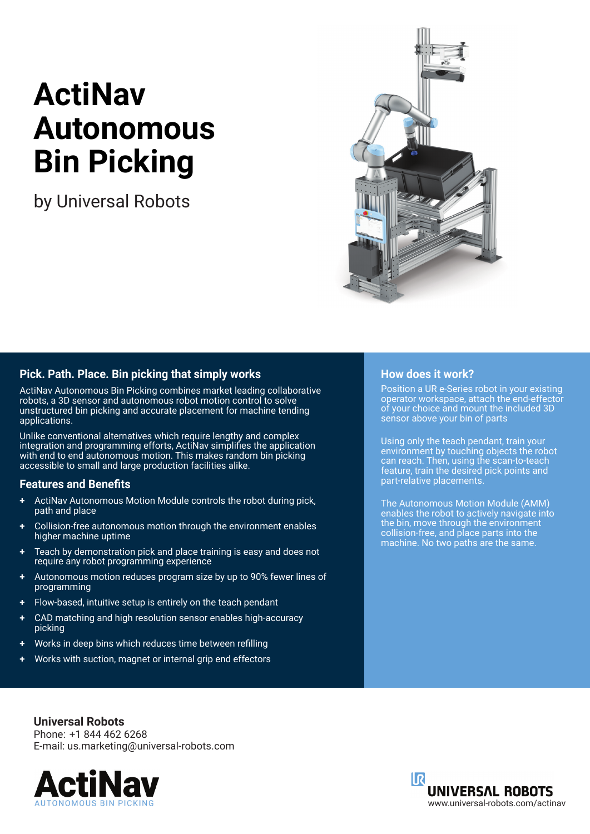# **ActiNav Autonomous Bin Picking**

by Universal Robots



### **Pick. Path. Place. Bin picking that simply works**

ActiNav Autonomous Bin Picking combines market leading collaborative robots, a 3D sensor and autonomous robot motion control to solve unstructured bin picking and accurate placement for machine tending applications.

Unlike conventional alternatives which require lengthy and complex integration and programming efforts, ActiNav simplifies the application with end to end autonomous motion. This makes random bin picking accessible to small and large production facilities alike.

#### **Features and Benefits**

- **+** ActiNav Autonomous Motion Module controls the robot during pick, path and place
- **+** Collision-free autonomous motion through the environment enables higher machine uptime
- **+** Teach by demonstration pick and place training is easy and does not require any robot programming experience
- **+** Autonomous motion reduces program size by up to 90% fewer lines of programming
- **+** Flow-based, intuitive setup is entirely on the teach pendant
- **+** CAD matching and high resolution sensor enables high-accuracy picking
- **+** Works in deep bins which reduces time between refilling
- **+** Works with suction, magnet or internal grip end effectors

### **How does it work?**

Position a UR e-Series robot in your existing operator workspace, attach the end-effector of your choice and mount the included 3D sensor above your bin of parts

Using only the teach pendant, train your environment by touching objects the robot can reach. Then, using the scan-to-teach feature, train the desired pick points and part-relative placements.

The Autonomous Motion Module (AMM) enables the robot to actively navigate into the bin, move through the environment collision-free, and place parts into the machine. No two paths are the same.

**Universal Robots** Phone: +1 844 462 6268 E-mail: us.marketing@universal-robots.com